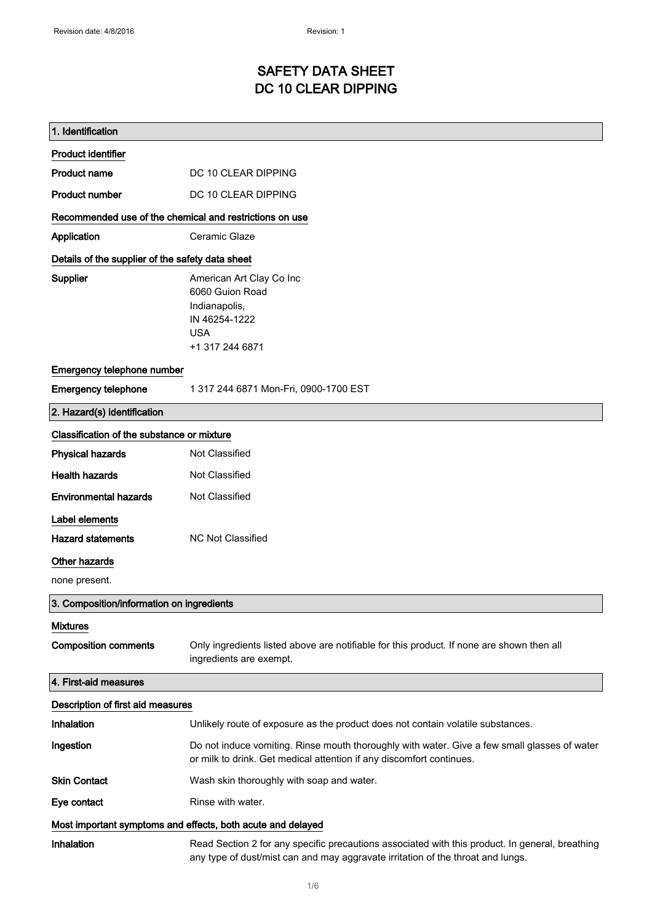# SAFETY DATA SHEET DC 10 CLEAR DIPPING

| 1. Identification                                           |                                                                                                                                                                                    |
|-------------------------------------------------------------|------------------------------------------------------------------------------------------------------------------------------------------------------------------------------------|
| <b>Product identifier</b>                                   |                                                                                                                                                                                    |
| <b>Product name</b>                                         | DC 10 CLEAR DIPPING                                                                                                                                                                |
| <b>Product number</b>                                       | DC 10 CLEAR DIPPING                                                                                                                                                                |
| Recommended use of the chemical and restrictions on use     |                                                                                                                                                                                    |
| Application                                                 | Ceramic Glaze                                                                                                                                                                      |
| Details of the supplier of the safety data sheet            |                                                                                                                                                                                    |
| Supplier                                                    | American Art Clay Co Inc<br>6060 Guion Road<br>Indianapolis,<br>IN 46254-1222<br><b>USA</b><br>+1 317 244 6871                                                                     |
| Emergency telephone number                                  |                                                                                                                                                                                    |
| <b>Emergency telephone</b>                                  | 1 317 244 6871 Mon-Fri, 0900-1700 EST                                                                                                                                              |
| 2. Hazard(s) identification                                 |                                                                                                                                                                                    |
| Classification of the substance or mixture                  |                                                                                                                                                                                    |
| <b>Physical hazards</b>                                     | Not Classified                                                                                                                                                                     |
| <b>Health hazards</b>                                       | Not Classified                                                                                                                                                                     |
| <b>Environmental hazards</b>                                | Not Classified                                                                                                                                                                     |
| Label elements                                              |                                                                                                                                                                                    |
| <b>Hazard statements</b>                                    | <b>NC Not Classified</b>                                                                                                                                                           |
| Other hazards                                               |                                                                                                                                                                                    |
| none present.                                               |                                                                                                                                                                                    |
| 3. Composition/information on ingredients                   |                                                                                                                                                                                    |
| <b>Mixtures</b>                                             |                                                                                                                                                                                    |
| <b>Composition comments</b>                                 | Only ingredients listed above are notifiable for this product. If none are shown then all<br>ingredients are exempt.                                                               |
| 4. First-aid measures                                       |                                                                                                                                                                                    |
| Description of first aid measures                           |                                                                                                                                                                                    |
| Inhalation                                                  | Unlikely route of exposure as the product does not contain volatile substances.                                                                                                    |
| Ingestion                                                   | Do not induce vomiting. Rinse mouth thoroughly with water. Give a few small glasses of water<br>or milk to drink. Get medical attention if any discomfort continues.               |
| <b>Skin Contact</b>                                         | Wash skin thoroughly with soap and water.                                                                                                                                          |
| Eye contact                                                 | Rinse with water.                                                                                                                                                                  |
| Most important symptoms and effects, both acute and delayed |                                                                                                                                                                                    |
| <b>Inhalation</b>                                           | Read Section 2 for any specific precautions associated with this product. In general, breathing<br>any type of dust/mist can and may aggravate irritation of the throat and lungs. |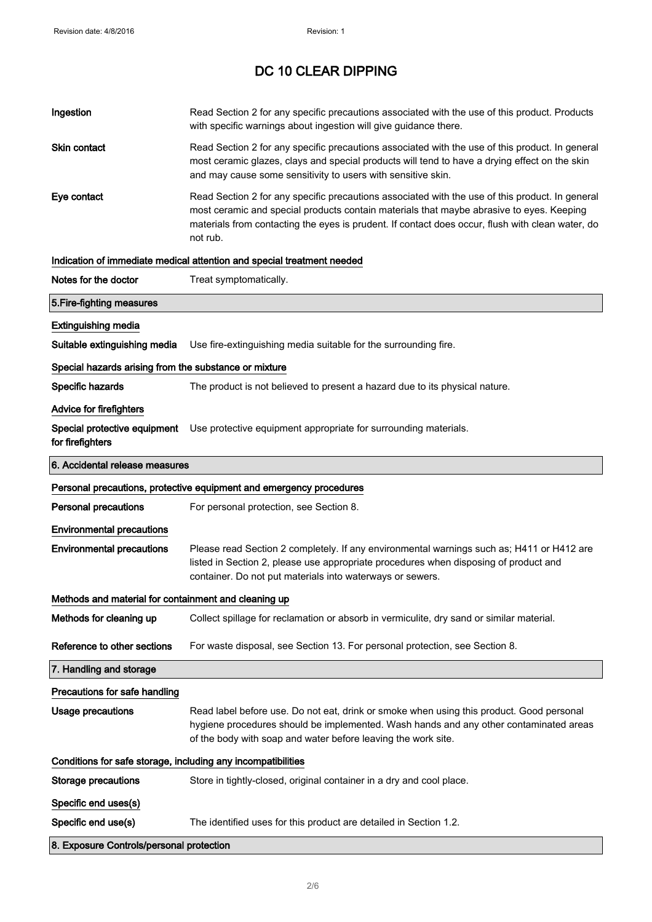| Ingestion                                                    | Read Section 2 for any specific precautions associated with the use of this product. Products<br>with specific warnings about ingestion will give guidance there.                                                                                                                                           |  |
|--------------------------------------------------------------|-------------------------------------------------------------------------------------------------------------------------------------------------------------------------------------------------------------------------------------------------------------------------------------------------------------|--|
| Skin contact                                                 | Read Section 2 for any specific precautions associated with the use of this product. In general<br>most ceramic glazes, clays and special products will tend to have a drying effect on the skin<br>and may cause some sensitivity to users with sensitive skin.                                            |  |
| Eye contact                                                  | Read Section 2 for any specific precautions associated with the use of this product. In general<br>most ceramic and special products contain materials that maybe abrasive to eyes. Keeping<br>materials from contacting the eyes is prudent. If contact does occur, flush with clean water, do<br>not rub. |  |
|                                                              | Indication of immediate medical attention and special treatment needed                                                                                                                                                                                                                                      |  |
| Notes for the doctor                                         | Treat symptomatically.                                                                                                                                                                                                                                                                                      |  |
| 5. Fire-fighting measures                                    |                                                                                                                                                                                                                                                                                                             |  |
| <b>Extinguishing media</b>                                   |                                                                                                                                                                                                                                                                                                             |  |
| Suitable extinguishing media                                 | Use fire-extinguishing media suitable for the surrounding fire.                                                                                                                                                                                                                                             |  |
| Special hazards arising from the substance or mixture        |                                                                                                                                                                                                                                                                                                             |  |
| Specific hazards                                             | The product is not believed to present a hazard due to its physical nature.                                                                                                                                                                                                                                 |  |
| Advice for firefighters                                      |                                                                                                                                                                                                                                                                                                             |  |
| Special protective equipment<br>for firefighters             | Use protective equipment appropriate for surrounding materials.                                                                                                                                                                                                                                             |  |
| 6. Accidental release measures                               |                                                                                                                                                                                                                                                                                                             |  |
|                                                              | Personal precautions, protective equipment and emergency procedures                                                                                                                                                                                                                                         |  |
| <b>Personal precautions</b>                                  | For personal protection, see Section 8.                                                                                                                                                                                                                                                                     |  |
| <b>Environmental precautions</b>                             |                                                                                                                                                                                                                                                                                                             |  |
| <b>Environmental precautions</b>                             | Please read Section 2 completely. If any environmental warnings such as; H411 or H412 are<br>listed in Section 2, please use appropriate procedures when disposing of product and<br>container. Do not put materials into waterways or sewers.                                                              |  |
| Methods and material for containment and cleaning up         |                                                                                                                                                                                                                                                                                                             |  |
| Methods for cleaning up                                      | Collect spillage for reclamation or absorb in vermiculite, dry sand or similar material.                                                                                                                                                                                                                    |  |
| Reference to other sections                                  | For waste disposal, see Section 13. For personal protection, see Section 8.                                                                                                                                                                                                                                 |  |
| 7. Handling and storage                                      |                                                                                                                                                                                                                                                                                                             |  |
| Precautions for safe handling                                |                                                                                                                                                                                                                                                                                                             |  |
| <b>Usage precautions</b>                                     | Read label before use. Do not eat, drink or smoke when using this product. Good personal<br>hygiene procedures should be implemented. Wash hands and any other contaminated areas<br>of the body with soap and water before leaving the work site.                                                          |  |
| Conditions for safe storage, including any incompatibilities |                                                                                                                                                                                                                                                                                                             |  |
| <b>Storage precautions</b>                                   | Store in tightly-closed, original container in a dry and cool place.                                                                                                                                                                                                                                        |  |
| Specific end uses(s)                                         |                                                                                                                                                                                                                                                                                                             |  |
| Specific end use(s)                                          | The identified uses for this product are detailed in Section 1.2.                                                                                                                                                                                                                                           |  |
| 8. Exposure Controls/personal protection                     |                                                                                                                                                                                                                                                                                                             |  |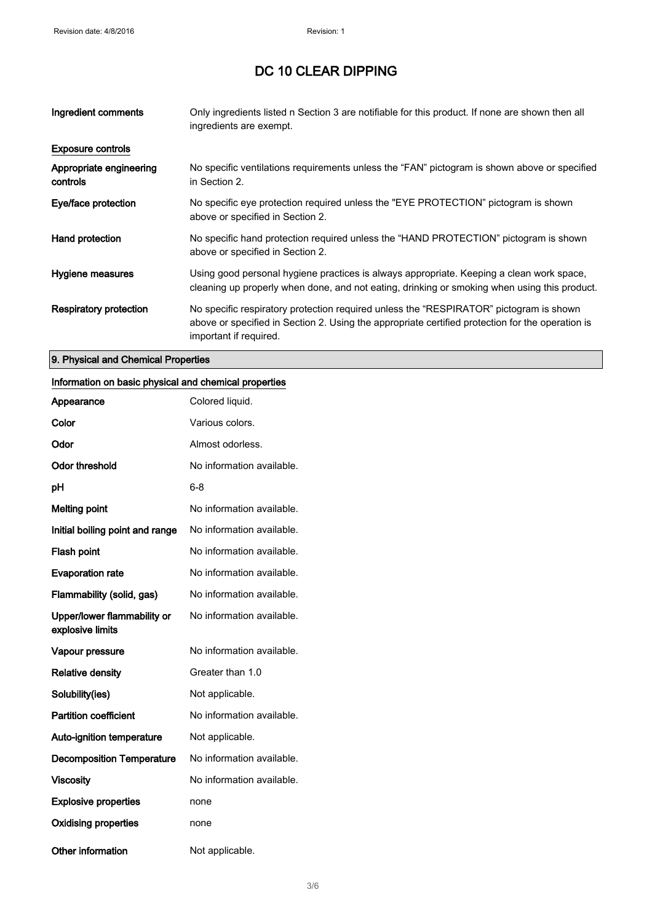| Ingredient comments                 | Only ingredients listed n Section 3 are notifiable for this product. If none are shown then all<br>ingredients are exempt.                                                                                           |
|-------------------------------------|----------------------------------------------------------------------------------------------------------------------------------------------------------------------------------------------------------------------|
| <b>Exposure controls</b>            |                                                                                                                                                                                                                      |
| Appropriate engineering<br>controls | No specific ventilations requirements unless the "FAN" pictogram is shown above or specified<br>in Section 2.                                                                                                        |
| Eye/face protection                 | No specific eye protection required unless the "EYE PROTECTION" pictogram is shown<br>above or specified in Section 2.                                                                                               |
| Hand protection                     | No specific hand protection required unless the "HAND PROTECTION" pictogram is shown<br>above or specified in Section 2.                                                                                             |
| Hygiene measures                    | Using good personal hygiene practices is always appropriate. Keeping a clean work space,<br>cleaning up properly when done, and not eating, drinking or smoking when using this product.                             |
| <b>Respiratory protection</b>       | No specific respiratory protection required unless the "RESPIRATOR" pictogram is shown<br>above or specified in Section 2. Using the appropriate certified protection for the operation is<br>important if required. |

## 9. Physical and Chemical Properties

## Information on basic physical and chemical properties

| Appearance                                      | Colored liquid.           |
|-------------------------------------------------|---------------------------|
| Color                                           | Various colors.           |
| Odor                                            | Almost odorless.          |
| <b>Odor threshold</b>                           | No information available. |
| рH                                              | 6-8                       |
| <b>Melting point</b>                            | No information available. |
| Initial boiling point and range                 | No information available. |
| <b>Flash point</b>                              | No information available. |
| <b>Evaporation rate</b>                         | No information available. |
| Flammability (solid, gas)                       | No information available. |
| Upper/lower flammability or<br>explosive limits | No information available. |
| Vapour pressure                                 | No information available. |
| <b>Relative density</b>                         | Greater than 1.0          |
| Solubility(ies)                                 | Not applicable.           |
| <b>Partition coefficient</b>                    | No information available. |
| <b>Auto-ignition temperature</b>                | Not applicable.           |
| <b>Decomposition Temperature</b>                | No information available. |
| <b>Viscosity</b>                                | No information available. |
| <b>Explosive properties</b>                     | none                      |
| <b>Oxidising properties</b>                     | none                      |
| Other information                               | Not applicable.           |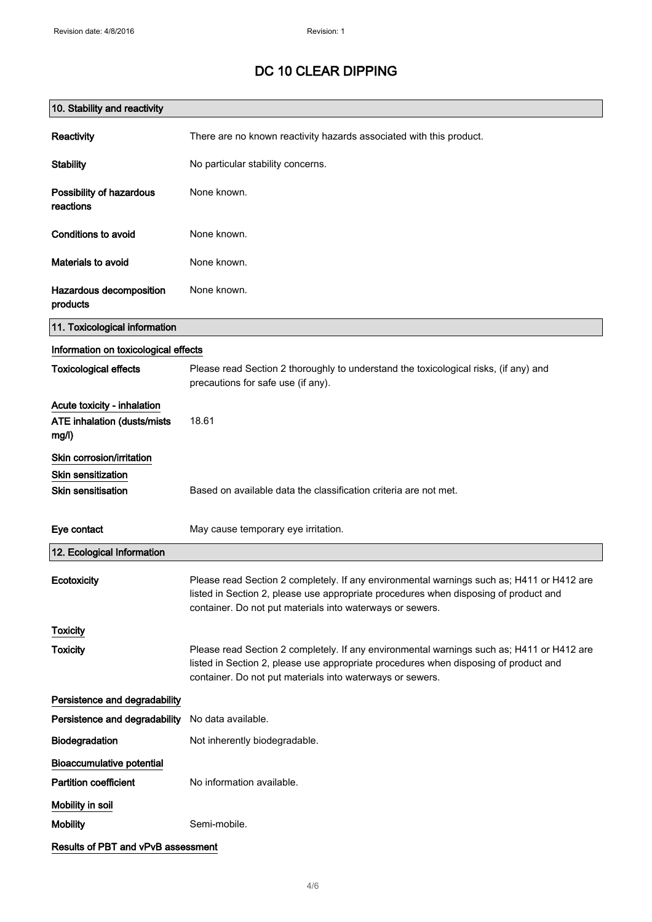| 10. Stability and reactivity                                        |                                                                                                                                                                                                                                                |
|---------------------------------------------------------------------|------------------------------------------------------------------------------------------------------------------------------------------------------------------------------------------------------------------------------------------------|
| Reactivity                                                          | There are no known reactivity hazards associated with this product.                                                                                                                                                                            |
| <b>Stability</b>                                                    | No particular stability concerns.                                                                                                                                                                                                              |
| Possibility of hazardous<br>reactions                               | None known.                                                                                                                                                                                                                                    |
| <b>Conditions to avoid</b>                                          | None known.                                                                                                                                                                                                                                    |
| Materials to avoid                                                  | None known.                                                                                                                                                                                                                                    |
| Hazardous decomposition<br>products                                 | None known.                                                                                                                                                                                                                                    |
| 11. Toxicological information                                       |                                                                                                                                                                                                                                                |
| Information on toxicological effects                                |                                                                                                                                                                                                                                                |
| <b>Toxicological effects</b>                                        | Please read Section 2 thoroughly to understand the toxicological risks, (if any) and<br>precautions for safe use (if any).                                                                                                                     |
| Acute toxicity - inhalation<br>ATE inhalation (dusts/mists<br>mg/l) | 18.61                                                                                                                                                                                                                                          |
| Skin corrosion/irritation                                           |                                                                                                                                                                                                                                                |
| Skin sensitization                                                  |                                                                                                                                                                                                                                                |
| <b>Skin sensitisation</b>                                           | Based on available data the classification criteria are not met.                                                                                                                                                                               |
| Eye contact                                                         | May cause temporary eye irritation.                                                                                                                                                                                                            |
| 12. Ecological Information                                          |                                                                                                                                                                                                                                                |
| Ecotoxicity                                                         | Please read Section 2 completely. If any environmental warnings such as; H411 or H412 are<br>listed in Section 2, please use appropriate procedures when disposing of product and<br>container. Do not put materials into waterways or sewers. |
| <b>Toxicity</b>                                                     |                                                                                                                                                                                                                                                |
| <b>Toxicity</b>                                                     | Please read Section 2 completely. If any environmental warnings such as; H411 or H412 are<br>listed in Section 2, please use appropriate procedures when disposing of product and<br>container. Do not put materials into waterways or sewers. |
| Persistence and degradability                                       |                                                                                                                                                                                                                                                |
| Persistence and degradability                                       | No data available.                                                                                                                                                                                                                             |
| Biodegradation                                                      | Not inherently biodegradable.                                                                                                                                                                                                                  |
| <b>Bioaccumulative potential</b>                                    |                                                                                                                                                                                                                                                |
| <b>Partition coefficient</b>                                        | No information available.                                                                                                                                                                                                                      |
| Mobility in soil                                                    |                                                                                                                                                                                                                                                |
| <b>Mobility</b>                                                     | Semi-mobile.                                                                                                                                                                                                                                   |
| Results of PBT and vPvB assessment                                  |                                                                                                                                                                                                                                                |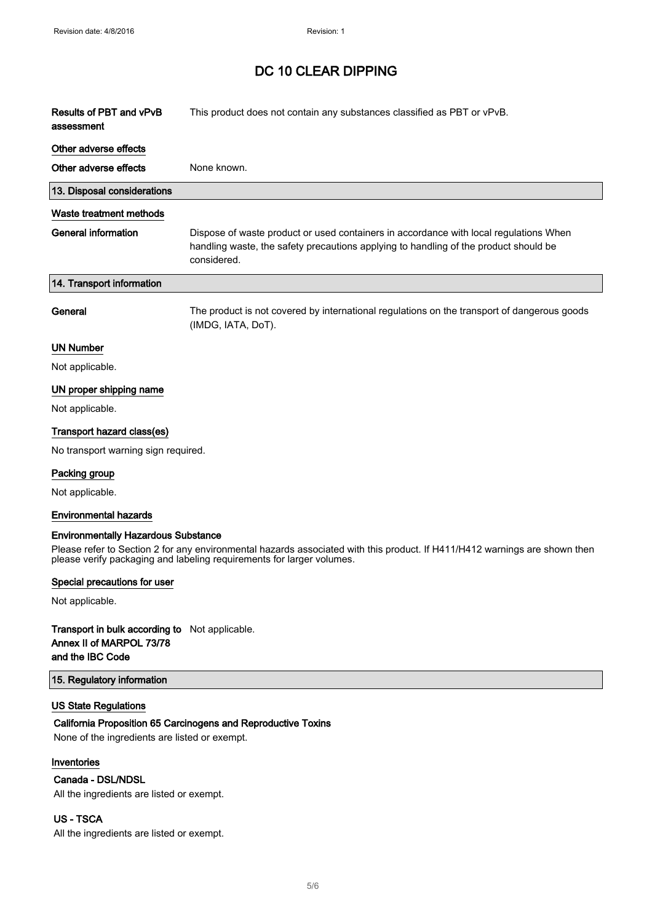| Results of PBT and vPvB<br>assessment      | This product does not contain any substances classified as PBT or vPvB.                                                                                                                      |
|--------------------------------------------|----------------------------------------------------------------------------------------------------------------------------------------------------------------------------------------------|
| Other adverse effects                      |                                                                                                                                                                                              |
| Other adverse effects                      | None known.                                                                                                                                                                                  |
| 13. Disposal considerations                |                                                                                                                                                                                              |
| <b>Waste treatment methods</b>             |                                                                                                                                                                                              |
| <b>General information</b>                 | Dispose of waste product or used containers in accordance with local regulations When<br>handling waste, the safety precautions applying to handling of the product should be<br>considered. |
| 14. Transport information                  |                                                                                                                                                                                              |
| General                                    | The product is not covered by international regulations on the transport of dangerous goods<br>(IMDG, IATA, DoT).                                                                            |
| <b>UN Number</b>                           |                                                                                                                                                                                              |
| Not applicable.                            |                                                                                                                                                                                              |
| UN proper shipping name                    |                                                                                                                                                                                              |
| Not applicable.                            |                                                                                                                                                                                              |
| Transport hazard class(es)                 |                                                                                                                                                                                              |
| No transport warning sign required.        |                                                                                                                                                                                              |
| Packing group                              |                                                                                                                                                                                              |
| Not applicable.                            |                                                                                                                                                                                              |
| <b>Environmental hazards</b>               |                                                                                                                                                                                              |
| <b>Environmentally Hazardous Substance</b> |                                                                                                                                                                                              |

Please refer to Section 2 for any environmental hazards associated with this product. If H411/H412 warnings are shown then please verify packaging and labeling requirements for larger volumes.

#### Special precautions for user

Not applicable.

### Transport in bulk according to Not applicable. Annex II of MARPOL 73/78 and the IBC Code

#### 15. Regulatory information

#### US State Regulations

#### California Proposition 65 Carcinogens and Reproductive Toxins

None of the ingredients are listed or exempt.

### Inventories

### Canada - DSL/NDSL

All the ingredients are listed or exempt.

#### US - TSCA

All the ingredients are listed or exempt.